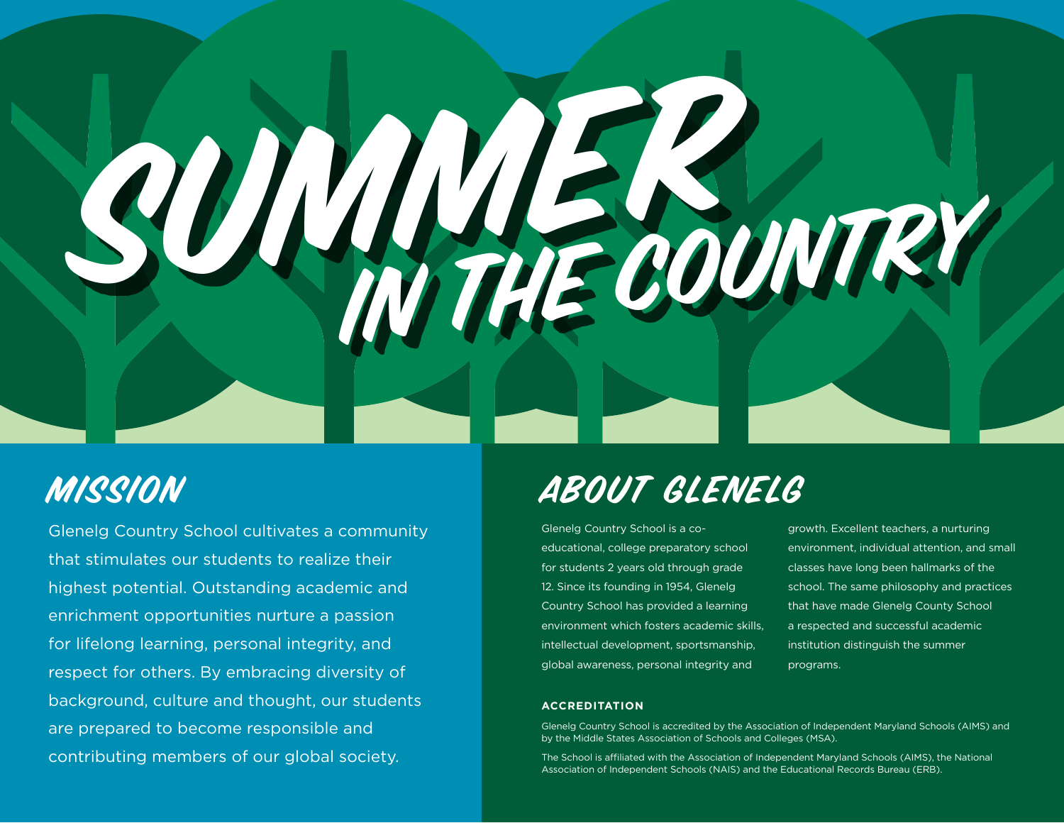

Glenelg Country School cultivates a community that stimulates our students to realize their highest potential. Outstanding academic and enrichment opportunities nurture a passion for lifelong learning, personal integrity, and respect for others. By embracing diversity of background, culture and thought, our students are prepared to become responsible and contributing members of our global society.

# Mission About Glenelg

Glenelg Country School is a coeducational, college preparatory school for students 2 years old through grade 12. Since its founding in 1954, Glenelg Country School has provided a learning environment which fosters academic skills, intellectual development, sportsmanship, global awareness, personal integrity and

growth. Excellent teachers, a nurturing environment, individual attention, and small classes have long been hallmarks of the school. The same philosophy and practices that have made Glenelg County School a respected and successful academic institution distinguish the summer programs.

#### **ACCREDITATION**

Glenelg Country School is accredited by the Association of Independent Maryland Schools (AIMS) and by the Middle States Association of Schools and Colleges (MSA).

The School is affiliated with the Association of Independent Maryland Schools (AIMS), the National Association of Independent Schools (NAIS) and the Educational Records Bureau (ERB).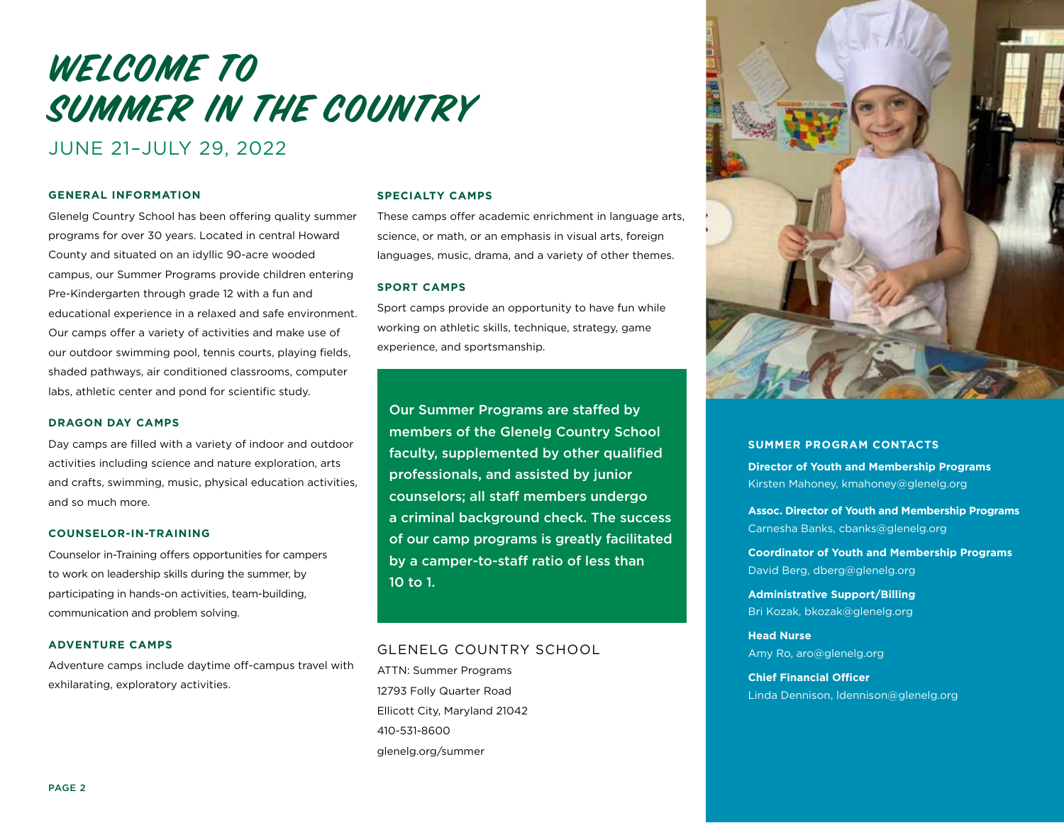# WELCOME TO SUMMER IN THE COUNTRY

## JUNE 21–JULY 29, 2022

#### **GENERAL INFORMATION**

Glenelg Country School has been offering quality summer programs for over 30 years. Located in central Howard County and situated on an idyllic 90-acre wooded campus, our Summer Programs provide children entering Pre-Kindergarten through grade 12 with a fun and educational experience in a relaxed and safe environment. Our camps offer a variety of activities and make use of our outdoor swimming pool, tennis courts, playing fields, shaded pathways, air conditioned classrooms, computer labs, athletic center and pond for scientific study.

#### **DRAGON DAY CAMPS**

Day camps are filled with a variety of indoor and outdoor activities including science and nature exploration, arts and crafts, swimming, music, physical education activities, and so much more.

#### **COUNSELOR-IN-TRAINING**

Counselor in-Training offers opportunities for campers to work on leadership skills during the summer, by participating in hands-on activities, team-building, communication and problem solving.

#### **ADVENTURE CAMPS**

Adventure camps include daytime off-campus travel with exhilarating, exploratory activities.

#### **SPECIALTY CAMPS**

These camps offer academic enrichment in language arts, science, or math, or an emphasis in visual arts, foreign languages, music, drama, and a variety of other themes.

#### **SPORT CAMPS**

Sport camps provide an opportunity to have fun while working on athletic skills, technique, strategy, game experience, and sportsmanship.

Our Summer Programs are staffed by members of the Glenelg Country School faculty, supplemented by other qualified professionals, and assisted by junior counselors; all staff members undergo a criminal background check. The success of our camp programs is greatly facilitated by a camper-to-staff ratio of less than 10 to 1.

#### GLENELG COUNTRY SCHOOL

ATTN: Summer Programs 12793 Folly Quarter Road Ellicott City, Maryland 21042 410-531-8600 glenelg.org/summer



#### **SUMMER PROGRAM CONTACTS Director of Youth and Membership Programs**  Kirsten Mahoney, kmahoney@glenelg.org

**Assoc. Director of Youth and Membership Programs**  Carnesha Banks, cbanks@glenelg.org

**Coordinator of Youth and Membership Programs**  David Berg, dberg@glenelg.org

**Administrative Support/Billing**  Bri Kozak, bkozak@glenelg.org

**Head Nurse**  Amy Ro, aro@glenelg.org

**Chief Financial Officer**  Linda Dennison, ldennison@glenelg.org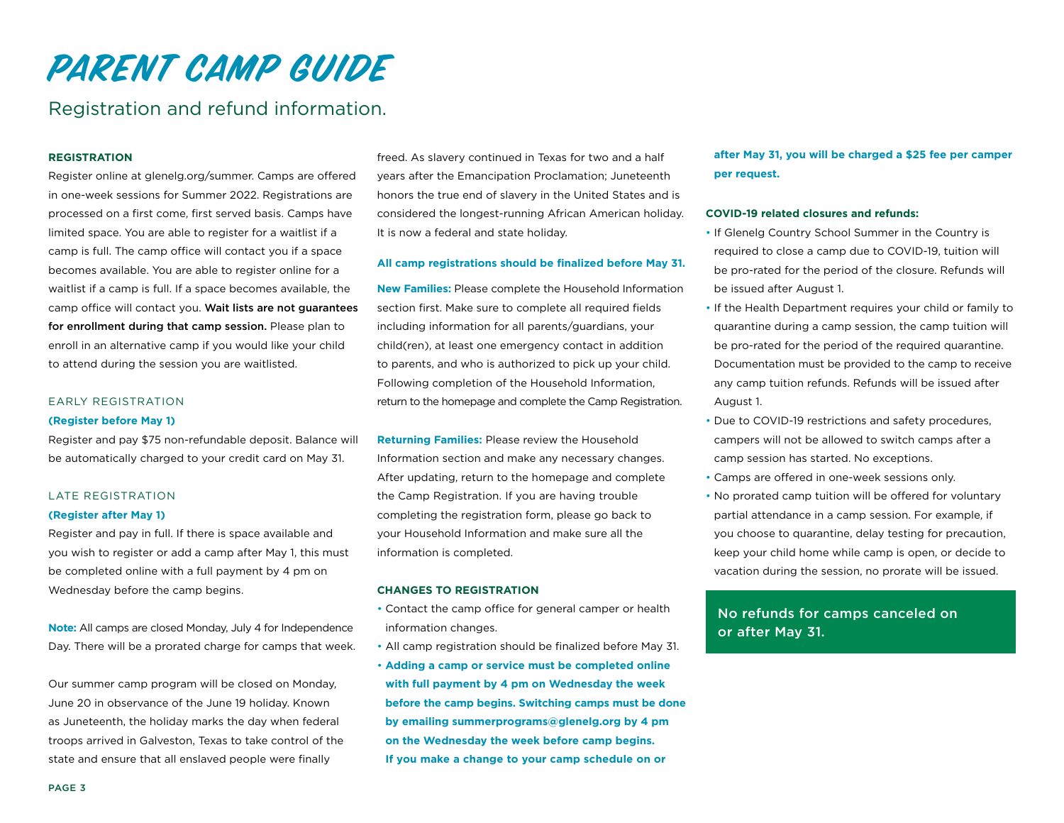### Registration and refund information.

#### **REGISTRATION**

Register online at glenelg.org/summer. Camps are offered in one-week sessions for Summer 2022. Registrations are processed on a first come, first served basis. Camps have limited space. You are able to register for a waitlist if a camp is full. The camp office will contact you if a space becomes available. You are able to register online for a waitlist if a camp is full. If a space becomes available, the camp office will contact you. Wait lists are not guarantees for enrollment during that camp session. Please plan to enroll in an alternative camp if you would like your child to attend during the session you are waitlisted.

#### EARLY REGISTRATION

#### **(Register before May 1)**

Register and pay \$75 non-refundable deposit. Balance will be automatically charged to your credit card on May 31.

#### LATE REGISTRATION

#### **(Register after May 1)**

Register and pay in full. If there is space available and you wish to register or add a camp after May 1, this must be completed online with a full payment by 4 pm on Wednesday before the camp begins.

**Note:** All camps are closed Monday, July 4 for Independence Day. There will be a prorated charge for camps that week.

Our summer camp program will be closed on Monday, June 20 in observance of the June 19 holiday. Known as Juneteenth, the holiday marks the day when federal troops arrived in Galveston, Texas to take control of the state and ensure that all enslaved people were finally

freed. As slavery continued in Texas for two and a half years after the Emancipation Proclamation; Juneteenth honors the true end of slavery in the United States and is considered the longest-running African American holiday. It is now a federal and state holiday.

#### **All camp registrations should be finalized before May 31.**

**New Families:** Please complete the Household Information section first. Make sure to complete all required fields including information for all parents/guardians, your child(ren), at least one emergency contact in addition to parents, and who is authorized to pick up your child. Following completion of the Household Information, return to the homepage and complete the Camp Registration.

**Returning Families:** Please review the Household Information section and make any necessary changes. After updating, return to the homepage and complete the Camp Registration. If you are having trouble completing the registration form, please go back to your Household Information and make sure all the information is completed.

#### **CHANGES TO REGISTRATION**

- Contact the camp office for general camper or health information changes.
- All camp registration should be finalized before May 31.
- **Adding a camp or service must be completed online with full payment by 4 pm on Wednesday the week before the camp begins. Switching camps must be done by emailing summerprograms@glenelg.org by 4 pm on the Wednesday the week before camp begins. If you make a change to your camp schedule on or**

#### **after May 31, you will be charged a \$25 fee per camper per request.**

#### **COVID-19 related closures and refunds:**

- If Glenelg Country School Summer in the Country is required to close a camp due to COVID-19, tuition will be pro-rated for the period of the closure. Refunds will be issued after August 1.
- If the Health Department requires your child or family to quarantine during a camp session, the camp tuition will be pro-rated for the period of the required quarantine. Documentation must be provided to the camp to receive any camp tuition refunds. Refunds will be issued after August 1.
- Due to COVID-19 restrictions and safety procedures, campers will not be allowed to switch camps after a camp session has started. No exceptions.
- Camps are offered in one-week sessions only.
- No prorated camp tuition will be offered for voluntary partial attendance in a camp session. For example, if you choose to quarantine, delay testing for precaution, keep your child home while camp is open, or decide to vacation during the session, no prorate will be issued.

#### No refunds for camps canceled on or after May 31.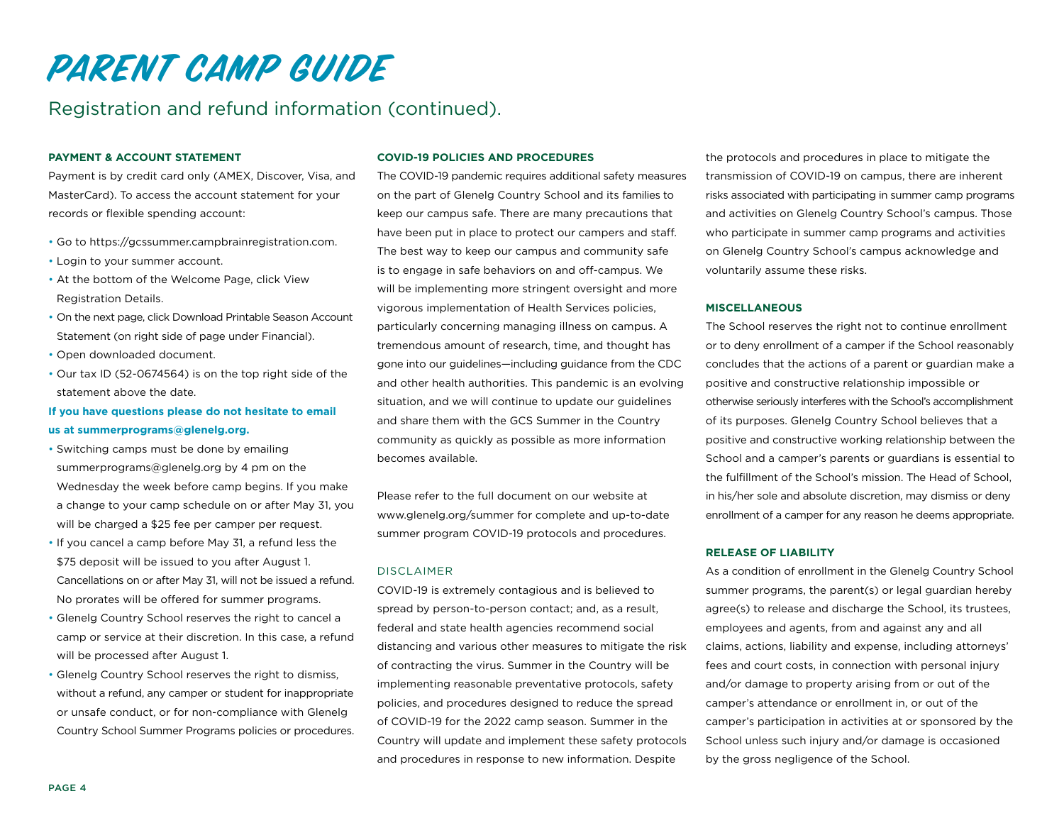## Registration and refund information (continued).

#### **PAYMENT & ACCOUNT STATEMENT**

Payment is by credit card only (AMEX, Discover, Visa, and MasterCard). To access the account statement for your records or flexible spending account:

- Go to https://gcssummer.campbrainregistration.com.
- Login to your summer account.
- At the bottom of the Welcome Page, click View Registration Details.
- On the next page, click Download Printable Season Account Statement (on right side of page under Financial).
- Open downloaded document.
- Our tax ID (52-0674564) is on the top right side of the statement above the date.

#### **If you have questions please do not hesitate to email us at summerprograms@glenelg.org.**

- Switching camps must be done by emailing summerprograms@glenelg.org by 4 pm on the Wednesday the week before camp begins. If you make a change to your camp schedule on or after May 31, you will be charged a \$25 fee per camper per request.
- If you cancel a camp before May 31, a refund less the \$75 deposit will be issued to you after August 1. Cancellations on or after May 31, will not be issued a refund. No prorates will be offered for summer programs.
- Glenelg Country School reserves the right to cancel a camp or service at their discretion. In this case, a refund will be processed after August 1.
- Glenelg Country School reserves the right to dismiss, without a refund, any camper or student for inappropriate or unsafe conduct, or for non-compliance with Glenelg Country School Summer Programs policies or procedures.

#### **COVID-19 POLICIES AND PROCEDURES**

The COVID-19 pandemic requires additional safety measures on the part of Glenelg Country School and its families to keep our campus safe. There are many precautions that have been put in place to protect our campers and staff. The best way to keep our campus and community safe is to engage in safe behaviors on and off-campus. We will be implementing more stringent oversight and more vigorous implementation of Health Services policies, particularly concerning managing illness on campus. A tremendous amount of research, time, and thought has gone into our guidelines—including guidance from the CDC and other health authorities. This pandemic is an evolving situation, and we will continue to update our guidelines and share them with the GCS Summer in the Country community as quickly as possible as more information becomes available.

Please refer to the full document on our website at www.glenelg.org/summer for complete and up-to-date summer program COVID-19 protocols and procedures.

#### DISCLAIMER

COVID-19 is extremely contagious and is believed to spread by person-to-person contact; and, as a result, federal and state health agencies recommend social distancing and various other measures to mitigate the risk of contracting the virus. Summer in the Country will be implementing reasonable preventative protocols, safety policies, and procedures designed to reduce the spread of COVID-19 for the 2022 camp season. Summer in the Country will update and implement these safety protocols and procedures in response to new information. Despite

the protocols and procedures in place to mitigate the transmission of COVID-19 on campus, there are inherent risks associated with participating in summer camp programs and activities on Glenelg Country School's campus. Those who participate in summer camp programs and activities on Glenelg Country School's campus acknowledge and voluntarily assume these risks.

#### **MISCELLANEOUS**

The School reserves the right not to continue enrollment or to deny enrollment of a camper if the School reasonably concludes that the actions of a parent or guardian make a positive and constructive relationship impossible or otherwise seriously interferes with the School's accomplishment of its purposes. Glenelg Country School believes that a positive and constructive working relationship between the School and a camper's parents or guardians is essential to the fulfillment of the School's mission. The Head of School, in his/her sole and absolute discretion, may dismiss or deny enrollment of a camper for any reason he deems appropriate.

#### **RELEASE OF LIABILITY**

As a condition of enrollment in the Glenelg Country School summer programs, the parent(s) or legal guardian hereby agree(s) to release and discharge the School, its trustees, employees and agents, from and against any and all claims, actions, liability and expense, including attorneys' fees and court costs, in connection with personal injury and/or damage to property arising from or out of the camper's attendance or enrollment in, or out of the camper's participation in activities at or sponsored by the School unless such injury and/or damage is occasioned by the gross negligence of the School.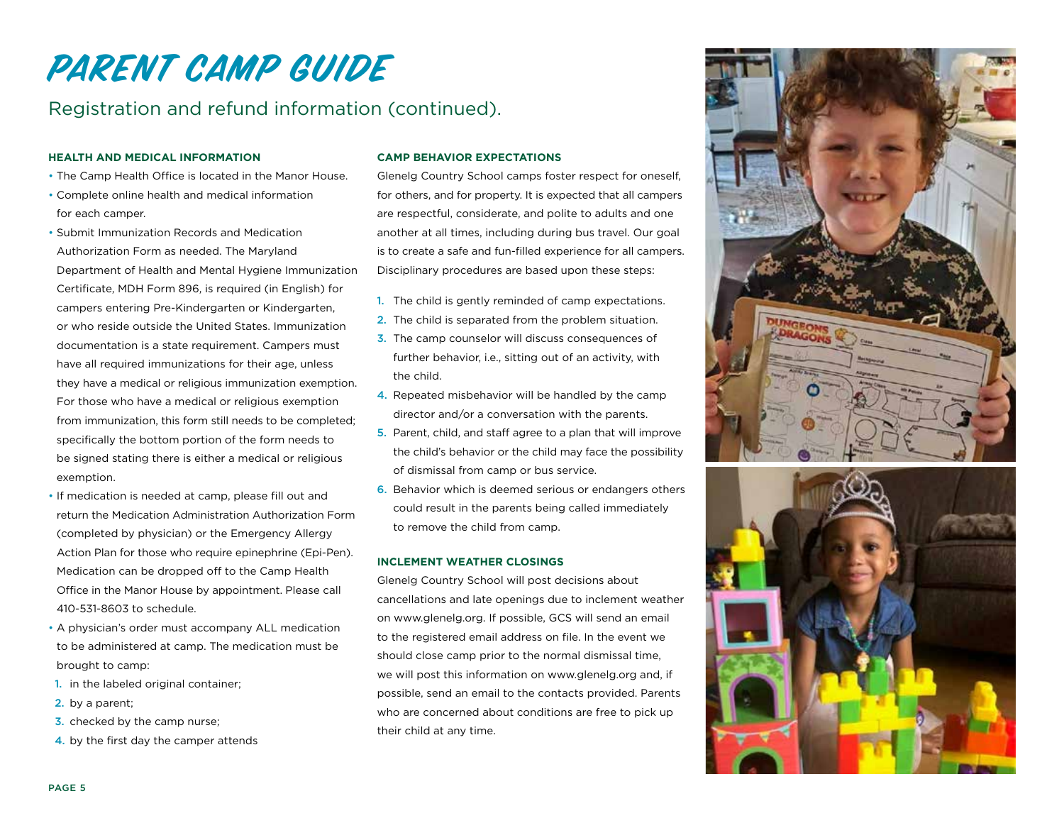## Registration and refund information (continued).

#### **HEALTH AND MEDICAL INFORMATION**

- The Camp Health Office is located in the Manor House.
- Complete online health and medical information for each camper.
- Submit Immunization Records and Medication Authorization Form as needed. The Maryland Department of Health and Mental Hygiene Immunization Certificate, MDH Form 896, is required (in English) for campers entering Pre-Kindergarten or Kindergarten, or who reside outside the United States. Immunization documentation is a state requirement. Campers must have all required immunizations for their age, unless they have a medical or religious immunization exemption. For those who have a medical or religious exemption from immunization, this form still needs to be completed; specifically the bottom portion of the form needs to be signed stating there is either a medical or religious exemption.
- If medication is needed at camp, please fill out and return the Medication Administration Authorization Form (completed by physician) or the Emergency Allergy Action Plan for those who require epinephrine (Epi-Pen). Medication can be dropped off to the Camp Health Office in the Manor House by appointment. Please call 410-531-8603 to schedule.
- A physician's order must accompany ALL medication to be administered at camp. The medication must be brought to camp:
- 1. in the labeled original container;
- 2. by a parent;
- **3.** checked by the camp nurse;
- 4. by the first day the camper attends

#### **CAMP BEHAVIOR EXPECTATIONS**

Glenelg Country School camps foster respect for oneself, for others, and for property. It is expected that all campers are respectful, considerate, and polite to adults and one another at all times, including during bus travel. Our goal is to create a safe and fun-filled experience for all campers. Disciplinary procedures are based upon these steps:

- 1. The child is gently reminded of camp expectations.
- 2. The child is separated from the problem situation.
- 3. The camp counselor will discuss consequences of further behavior, i.e., sitting out of an activity, with the child.
- 4. Repeated misbehavior will be handled by the camp director and/or a conversation with the parents.
- 5. Parent, child, and staff agree to a plan that will improve the child's behavior or the child may face the possibility of dismissal from camp or bus service.
- 6. Behavior which is deemed serious or endangers others could result in the parents being called immediately to remove the child from camp.

#### **INCLEMENT WEATHER CLOSINGS**

Glenelg Country School will post decisions about cancellations and late openings due to inclement weather on www.glenelg.org. If possible, GCS will send an email to the registered email address on file. In the event we should close camp prior to the normal dismissal time, we will post this information on www.glenelg.org and, if possible, send an email to the contacts provided. Parents who are concerned about conditions are free to pick up their child at any time.



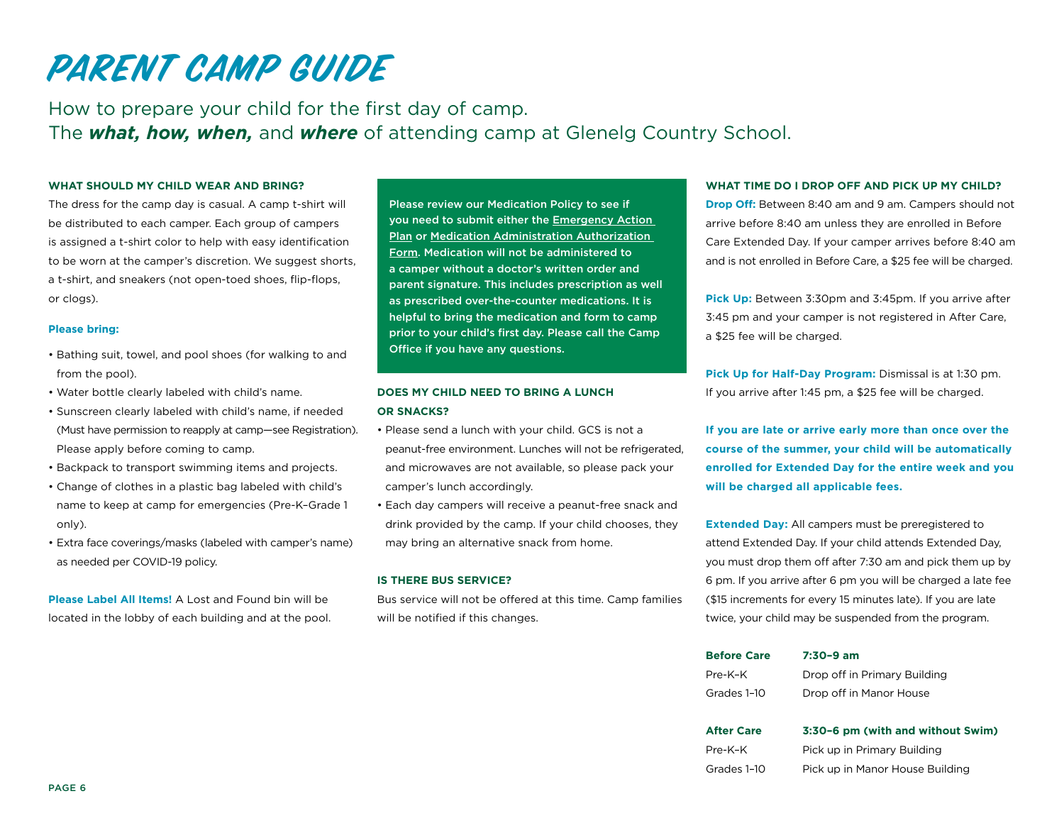How to prepare your child for the first day of camp. The *what, how, when,* and *where* of attending camp at Glenelg Country School.

#### **WHAT SHOULD MY CHILD WEAR AND BRING?**

The dress for the camp day is casual. A camp t-shirt will be distributed to each camper. Each group of campers is assigned a t-shirt color to help with easy identification to be worn at the camper's discretion. We suggest shorts, a t-shirt, and sneakers (not open-toed shoes, flip-flops, or clogs).

#### **Please bring:**

- Bathing suit, towel, and pool shoes (for walking to and from the pool).
- Water bottle clearly labeled with child's name.
- Sunscreen clearly labeled with child's name, if needed (Must have permission to reapply at camp—see Registration). Please apply before coming to camp.
- Backpack to transport swimming items and projects.
- Change of clothes in a plastic bag labeled with child's name to keep at camp for emergencies (Pre-K–Grade 1 only).
- Extra face coverings/masks (labeled with camper's name) as needed per COVID-19 policy.

**Please Label All Items!** A Lost and Found bin will be located in the lobby of each building and at the pool.

Please review our Medication Policy to see if you need to submit either the Emergency Action Plan or Medication Administration Authorization Form. Medication will not be administered to a camper without a doctor's written order and parent signature. This includes prescription as well as prescribed over-the-counter medications. It is helpful to bring the medication and form to camp prior to your child's first day. Please call the Camp Office if you have any questions.

#### **DOES MY CHILD NEED TO BRING A LUNCH OR SNACKS?**

- Please send a lunch with your child. GCS is not a peanut-free environment. Lunches will not be refrigerated, and microwaves are not available, so please pack your camper's lunch accordingly.
- Each day campers will receive a peanut-free snack and drink provided by the camp. If your child chooses, they may bring an alternative snack from home.

#### **IS THERE BUS SERVICE?**

Bus service will not be offered at this time. Camp families will be notified if this changes.

#### **WHAT TIME DO I DROP OFF AND PICK UP MY CHILD?**

**Drop Off:** Between 8:40 am and 9 am. Campers should not arrive before 8:40 am unless they are enrolled in Before Care Extended Day. If your camper arrives before 8:40 am and is not enrolled in Before Care, a \$25 fee will be charged.

**Pick Up:** Between 3:30pm and 3:45pm. If you arrive after 3:45 pm and your camper is not registered in After Care, a \$25 fee will be charged.

**Pick Up for Half-Day Program:** Dismissal is at 1:30 pm. If you arrive after 1:45 pm, a \$25 fee will be charged.

**If you are late or arrive early more than once over the course of the summer, your child will be automatically enrolled for Extended Day for the entire week and you will be charged all applicable fees.** 

**Extended Day:** All campers must be preregistered to attend Extended Day. If your child attends Extended Day, you must drop them off after 7:30 am and pick them up by 6 pm. If you arrive after 6 pm you will be charged a late fee (\$15 increments for every 15 minutes late). If you are late twice, your child may be suspended from the program.

| <b>Before Care</b> | $7:30-9$ am                  |
|--------------------|------------------------------|
| Pre-K-K            | Drop off in Primary Building |
| Grades 1-10        | Drop off in Manor House      |

| <b>After Care</b> | 3:30-6 pm (with and without Swim) |
|-------------------|-----------------------------------|
| Pre-K-K           | Pick up in Primary Building       |
| Grades 1-10       | Pick up in Manor House Building   |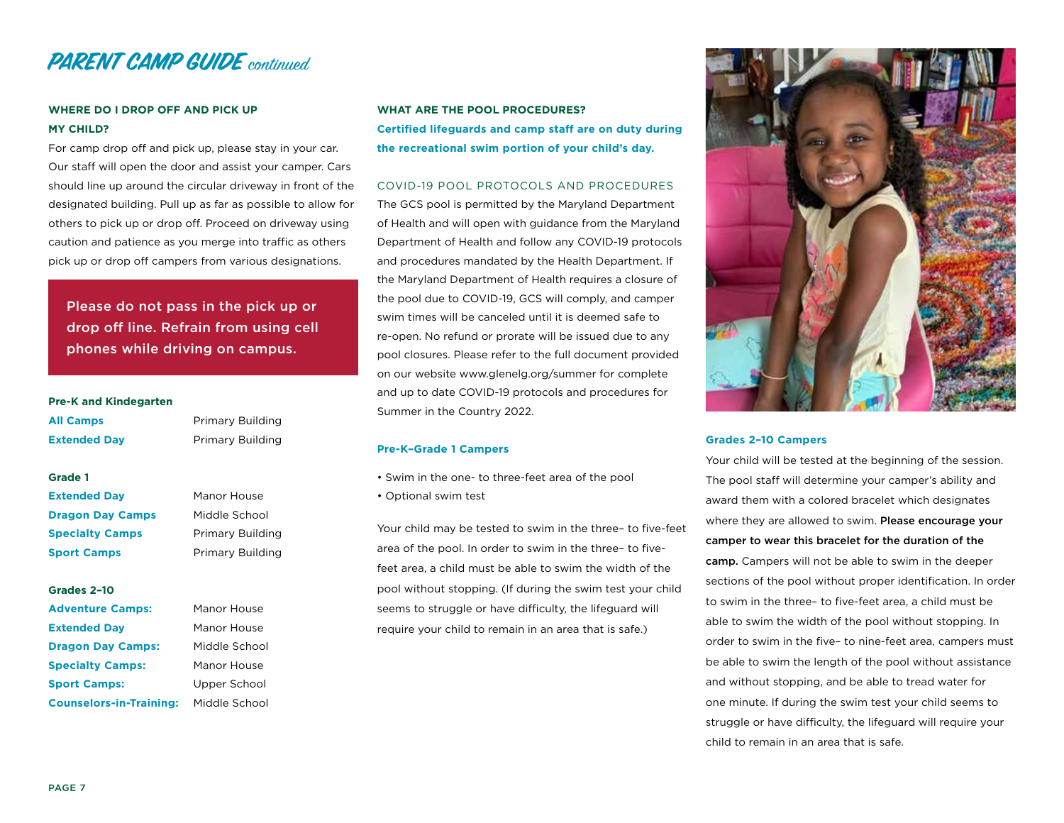

#### **WHERE DO I DROP OFF AND PICK UP MY CHILD?**

For camp drop off and pick up, please stay in your car. Our staff will open the door and assist your camper. Cars should line up around the circular driveway in front of the designated building. Pull up as far as possible to allow for others to pick up or drop off. Proceed on driveway using caution and patience as you merge into traffic as others pick up or drop off campers from various designations.

Please do not pass in the pick up or drop off line. Refrain from using cell phones while driving on campus.

#### **Pre-K and Kindegarten**

| <b>All Camps</b>         | Primary Building |
|--------------------------|------------------|
| <b>Extended Day</b>      | Primary Building |
|                          |                  |
| Grade 1                  |                  |
| <b>Extended Day</b>      | Manor House      |
| <b>Dragon Day Camps</b>  | Middle School    |
| <b>Specialty Camps</b>   | Primary Building |
| <b>Sport Camps</b>       | Primary Building |
| Grades 2-10              |                  |
| <b>Adventure Camps:</b>  | Manor House      |
| <b>Extended Day</b>      | Manor House      |
| <b>Dragon Day Camps:</b> | Middle School    |
| <b>Specialty Camps:</b>  | Manor House      |
|                          |                  |

**Sport Camps:** Upper School **Counselors-in-Training:** Middle School **WHAT ARE THE POOL PROCEDURES? Certified lifeguards and camp staff are on duty during the recreational swim portion of your child's day.**

#### COVID-19 POOL PROTOCOLS AND PROCEDURES

The GCS pool is permitted by the Maryland Department of Health and will open with guidance from the Maryland Department of Health and follow any COVID-19 protocols and procedures mandated by the Health Department. If the Maryland Department of Health requires a closure of the pool due to COVID-19, GCS will comply, and camper swim times will be canceled until it is deemed safe to re-open. No refund or prorate will be issued due to any pool closures. Please refer to the full document provided on our website www.glenelg.org/summer for complete and up to date COVID-19 protocols and procedures for Summer in the Country 2022.

#### **Pre-K–Grade 1 Campers**

- Swim in the one- to three-feet area of the pool
- Optional swim test

Your child may be tested to swim in the three– to five-feet area of the pool. In order to swim in the three– to fivefeet area, a child must be able to swim the width of the pool without stopping. (If during the swim test your child seems to struggle or have difficulty, the lifeguard will require your child to remain in an area that is safe.)



#### **Grades 2–10 Campers**

Your child will be tested at the beginning of the session. The pool staff will determine your camper's ability and award them with a colored bracelet which designates where they are allowed to swim. Please encourage your camper to wear this bracelet for the duration of the camp. Campers will not be able to swim in the deeper sections of the pool without proper identification. In order to swim in the three– to five-feet area, a child must be able to swim the width of the pool without stopping. In order to swim in the five– to nine-feet area, campers must be able to swim the length of the pool without assistance and without stopping, and be able to tread water for one minute. If during the swim test your child seems to struggle or have difficulty, the lifeguard will require your child to remain in an area that is safe.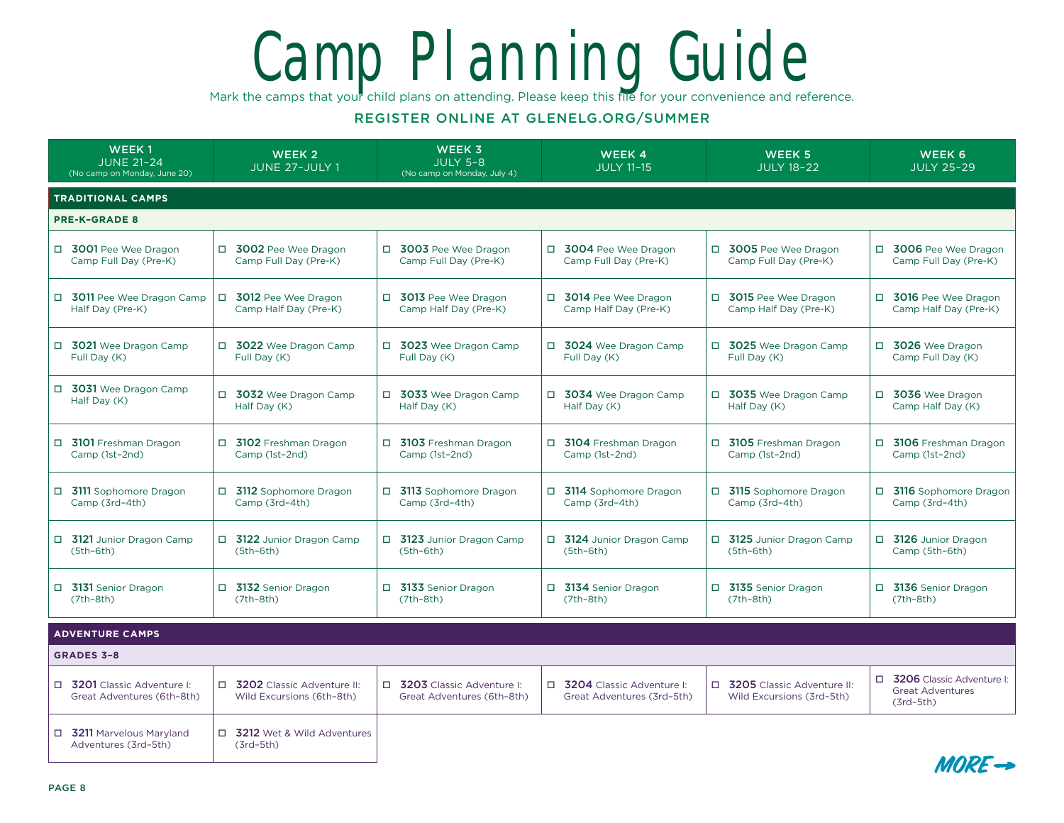# Camp Planning Guide

Mark the camps that your child plans on attending. Please keep this file for your convenience and reference.

#### REGISTER ONLINE AT GLENELG.ORG/SUMMER

| <b>WEEK1</b><br><b>JUNE 21-24</b><br>(No camp on Monday, June 20) | <b>WEEK 2</b><br>JUNE 27-JULY 1                           | <b>WEEK 3</b><br><b>JULY 5-8</b><br>(No camp on Monday, July 4) | <b>WEEK4</b><br><b>JULY 11-15</b>                         | <b>WEEK 5</b><br><b>JULY 18-22</b>                                | WEEK 6<br><b>JULY 25-29</b>                                           |  |
|-------------------------------------------------------------------|-----------------------------------------------------------|-----------------------------------------------------------------|-----------------------------------------------------------|-------------------------------------------------------------------|-----------------------------------------------------------------------|--|
| <b>TRADITIONAL CAMPS</b>                                          |                                                           |                                                                 |                                                           |                                                                   |                                                                       |  |
| <b>PRE-K-GRADE 8</b>                                              |                                                           |                                                                 |                                                           |                                                                   |                                                                       |  |
| □ 3001 Pee Wee Dragon<br>Camp Full Day (Pre-K)                    | □ 3002 Pee Wee Dragon<br>Camp Full Day (Pre-K)            | □ 3003 Pee Wee Dragon<br>Camp Full Day (Pre-K)                  | □ 3004 Pee Wee Dragon<br>Camp Full Day (Pre-K)            | □ 3005 Pee Wee Dragon<br>Camp Full Day (Pre-K)                    | □ 3006 Pee Wee Dragon<br>Camp Full Day (Pre-K)                        |  |
| □ 3011 Pee Wee Dragon Camp<br>Half Day (Pre-K)                    | □ 3012 Pee Wee Dragon<br>Camp Half Day (Pre-K)            | □ 3013 Pee Wee Dragon<br>Camp Half Day (Pre-K)                  | □ 3014 Pee Wee Dragon<br>Camp Half Day (Pre-K)            | □ 3015 Pee Wee Dragon<br>Camp Half Day (Pre-K)                    | □ 3016 Pee Wee Dragon<br>Camp Half Day (Pre-K)                        |  |
| □ 3021 Wee Dragon Camp<br>Full Day (K)                            | □ 3022 Wee Dragon Camp<br>Full Day (K)                    | □ 3023 Wee Dragon Camp<br>Full Dav (K)                          | □ 3024 Wee Dragon Camp<br>Full Day (K)                    | □ 3025 Wee Dragon Camp<br>Full Day (K)                            | □ 3026 Wee Dragon<br>Camp Full Day (K)                                |  |
| □ 3031 Wee Dragon Camp<br>Half Day (K)                            | □ 3032 Wee Dragon Camp<br>Half Day (K)                    | □ 3033 Wee Dragon Camp<br>Half Day (K)                          | □ 3034 Wee Dragon Camp<br>Half Day (K)                    | □ 3035 Wee Dragon Camp<br>Half Day (K)                            | □ 3036 Wee Dragon<br>Camp Half Day (K)                                |  |
| □ 3101 Freshman Dragon<br>Camp (1st-2nd)                          | 3102 Freshman Dragon<br>$\Box$<br>Camp (1st-2nd)          | $\Box$<br>3103 Freshman Dragon<br>Camp (1st-2nd)                | □ 3104 Freshman Dragon<br>Camp (1st-2nd)                  | 3105 Freshman Dragon<br>Camp (1st-2nd)                            | 5106 Freshman Dragon<br>Camp (1st-2nd)                                |  |
| □ 3111 Sophomore Dragon<br>Camp (3rd-4th)                         | □ 3112 Sophomore Dragon<br>Camp (3rd-4th)                 | □ 3113 Sophomore Dragon<br>Camp (3rd-4th)                       | □ 3114 Sophomore Dragon<br>Camp (3rd-4th)                 | □ 3115 Sophomore Dragon<br>Camp (3rd-4th)                         | □ 3116 Sophomore Dragon<br>Camp (3rd-4th)                             |  |
| 5121 Junior Dragon Camp<br>$(5th-6th)$                            | 5122 Junior Dragon Camp<br>$(5th-6th)$                    | □ 3123 Junior Dragon Camp<br>$(5th-6th)$                        | □ 3124 Junior Dragon Camp<br>$(5th-6th)$                  | 5125 Junior Dragon Camp<br>$(5th-6th)$                            | □ 3126 Junior Dragon<br>Camp (5th-6th)                                |  |
| □ 3131 Senior Dragon<br>$(7th-8th)$                               | □ 3132 Senior Dragon<br>$(7th-8th)$                       | 3133 Senior Dragon<br>$\Box$<br>$(7th-8th)$                     | □ 3134 Senior Dragon<br>$(7th-8th)$                       | □ 3135 Senior Dragon<br>$(7th-8th)$                               | □ 3136 Senior Dragon<br>$(7th-8th)$                                   |  |
| <b>ADVENTURE CAMPS</b>                                            |                                                           |                                                                 |                                                           |                                                                   |                                                                       |  |
| <b>GRADES 3-8</b>                                                 |                                                           |                                                                 |                                                           |                                                                   |                                                                       |  |
| □ 3201 Classic Adventure I:<br>Great Adventures (6th-8th)         | □ 3202 Classic Adventure II:<br>Wild Excursions (6th-8th) | □ 3203 Classic Adventure I:<br>Great Adventures (6th-8th)       | □ 3204 Classic Adventure I:<br>Great Adventures (3rd-5th) | 3205 Classic Adventure II:<br>$\Box$<br>Wild Excursions (3rd-5th) | □ 3206 Classic Adventure I:<br><b>Great Adventures</b><br>$(3rd-5th)$ |  |
| □ 3211 Marvelous Marvland<br>Adventures (3rd-5th)                 | 3212 Wet & Wild Adventures<br>$\Box$<br>$(3rd-5th)$       |                                                                 |                                                           |                                                                   |                                                                       |  |

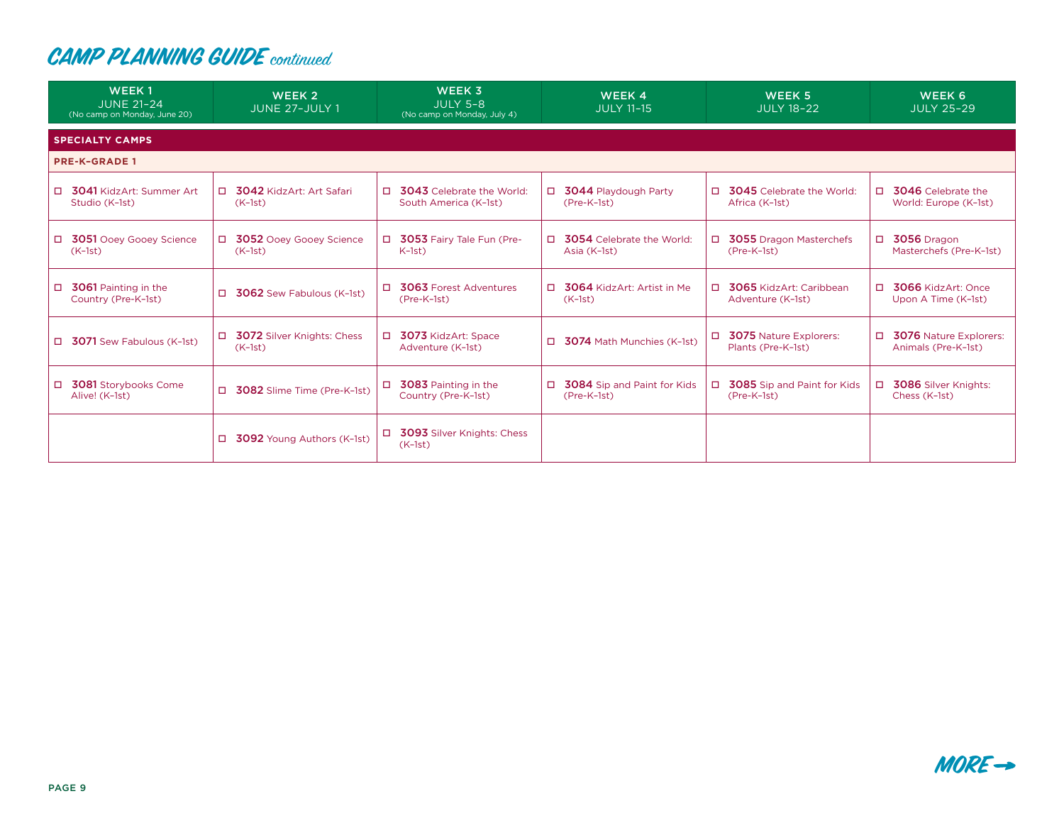| <b>WEEK1</b><br><b>JUNE 21-24</b><br>(No camp on Monday, June 20) | WEEK <sub>2</sub><br>JUNE 27-JULY 1             | <b>WEEK 3</b><br><b>JULY 5-8</b><br>(No camp on Monday, July 4)     | WEEK 4<br><b>JULY 11-15</b>                  | WEEK 5<br><b>JULY 18-22</b>                              | WEEK 6<br><b>JULY 25-29</b>                                    |
|-------------------------------------------------------------------|-------------------------------------------------|---------------------------------------------------------------------|----------------------------------------------|----------------------------------------------------------|----------------------------------------------------------------|
| <b>SPECIALTY CAMPS</b>                                            |                                                 |                                                                     |                                              |                                                          |                                                                |
| <b>PRE-K-GRADE 1</b>                                              |                                                 |                                                                     |                                              |                                                          |                                                                |
| <b>D</b> 3041 KidzArt: Summer Art<br>Studio (K-1st)               | $\Box$<br>3042 KidzArt: Art Safari<br>$(K-1st)$ | <b>3043</b> Celebrate the World:<br>$\Box$<br>South America (K-1st) | □ 3044 Playdough Party<br>(Pre-K-1st)        | п.<br><b>3045</b> Celebrate the World:<br>Africa (K-1st) | $\Box$<br><b>3046</b> Celebrate the<br>World: Europe (K-1st)   |
| □ 3051 Ooey Gooey Science<br>$(K-1st)$                            | 3052 Ooey Gooey Science<br>П.<br>$(K-1st)$      | 3053 Fairy Tale Fun (Pre-<br>$\Box$<br>$K-1st$                      | □ 3054 Celebrate the World:<br>Asia (K-1st)  | □ 3055 Dragon Masterchefs<br>$(Pre-K-1st)$               | 3056 Dragon<br>$\Box$<br>Masterchefs (Pre-K-1st)               |
| 3061 Painting in the<br>$\Box$<br>Country (Pre-K-1st)             | $\Box$<br>3062 Sew Fabulous (K-1st)             | 3063 Forest Adventures<br>$\Box$<br>(Pre-K-1st)                     | □ 3064 KidzArt: Artist in Me<br>$(K-1st)$    | $\Box$<br>3065 KidzArt: Caribbean<br>Adventure (K-1st)   | $\Box$<br>3066 KidzArt: Once<br>Upon A Time (K-1st)            |
| <b>J</b> 3071 Sew Fabulous (K-1st)                                | 3072 Silver Knights: Chess<br>□<br>$(K-1st)$    | 3073 KidzArt: Space<br>Adventure (K-1st)                            | $\Box$ 3074 Math Munchies (K-1st)            | 3075 Nature Explorers:<br>□<br>Plants (Pre-K-1st)        | $\Box$<br><b>3076</b> Nature Explorers:<br>Animals (Pre-K-1st) |
| <b>3081</b> Storybooks Come<br>□<br>Alive! (K-1st)                | $\Box$<br>3082 Slime Time (Pre-K-1st)           | 3083 Painting in the<br>□<br>Country (Pre-K-1st)                    | □ 3084 Sip and Paint for Kids<br>(Pre-K-1st) | 3085 Sip and Paint for Kids<br>□<br>(Pre-K-1st)          | <b>3086</b> Silver Knights:<br>$\Box$<br>Chess (K-1st)         |
|                                                                   | $\Box$<br><b>3092</b> Young Authors (K-1st)     | 3093 Silver Knights: Chess<br>$\Box$<br>$(K-1st)$                   |                                              |                                                          |                                                                |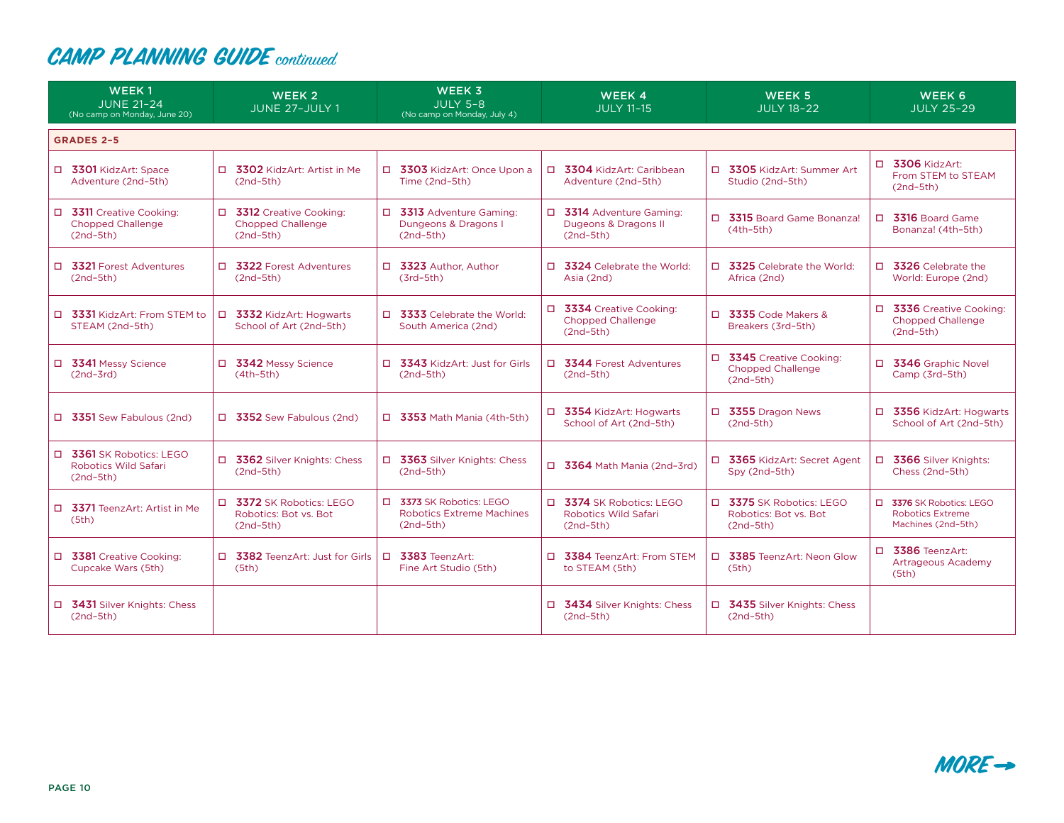| WEEK <sub>1</sub><br><b>JUNE 21-24</b><br>(No camp on Monday, June 20) | WEEK <sub>2</sub><br>JUNE 27-JULY 1                                                | <b>WEEK 3</b><br><b>JULY 5-8</b><br>(No camp on Monday, July 4)             | WEEK 4<br><b>JULY 11-15</b>                                         | <b>WEEK 5</b><br><b>JULY 18-22</b>                                  | WEEK 6<br><b>JULY 25-29</b>                                               |
|------------------------------------------------------------------------|------------------------------------------------------------------------------------|-----------------------------------------------------------------------------|---------------------------------------------------------------------|---------------------------------------------------------------------|---------------------------------------------------------------------------|
| <b>GRADES 2-5</b>                                                      |                                                                                    |                                                                             |                                                                     |                                                                     |                                                                           |
| □ 3301 KidzArt: Space<br>Adventure (2nd-5th)                           | □ 3302 KidzArt: Artist in Me<br>$(2nd-5th)$                                        | □ 3303 KidzArt: Once Upon a<br>Time (2nd-5th)                               | □ 3304 KidzArt: Caribbean<br>Adventure (2nd-5th)                    | $\Box$<br>3305 KidzArt: Summer Art<br>Studio (2nd-5th)              | $\Box$ 3306 KidzArt:<br>From STEM to STEAM<br>$(2nd-5th)$                 |
| □ 3311 Creative Cooking:<br><b>Chopped Challenge</b><br>$(2nd-5th)$    | $\Box$<br><b>3312</b> Creative Cooking:<br><b>Chopped Challenge</b><br>$(2nd-5th)$ | □ 3313 Adventure Gaming:<br>Dungeons & Dragons I<br>$(2nd-5th)$             | □ 3314 Adventure Gaming:<br>Dugeons & Dragons II<br>$(2nd-5th)$     | □ 3315 Board Game Bonanza!<br>$(4th-5th)$                           | 3316 Board Game<br>$\Box$<br>Bonanza! (4th-5th)                           |
| □ 3321 Forest Adventures<br>$(2nd-5th)$                                | □ 3322 Forest Adventures<br>$(2nd-5th)$                                            | □ 3323 Author, Author<br>$(3rd-5th)$                                        | □ 3324 Celebrate the World:<br>Asia (2nd)                           | □ 3325 Celebrate the World:<br>Africa (2nd)                         | □ 3326 Celebrate the<br>World: Europe (2nd)                               |
| □ 3331 KidzArt: From STEM to<br>STEAM (2nd-5th)                        | 3332 KidzArt: Hogwarts<br>$\Box$<br>School of Art (2nd-5th)                        | 3333 Celebrate the World:<br>$\Box$<br>South America (2nd)                  | □ 3334 Creative Cooking:<br><b>Chopped Challenge</b><br>$(2nd-5th)$ | 3335 Code Makers &<br>n.<br>Breakers (3rd-5th)                      | □ 3336 Creative Cooking:<br><b>Chopped Challenge</b><br>$(2nd-5th)$       |
| □ 3341 Messy Science<br>$(2nd-3rd)$                                    | □ 3342 Messy Science<br>$(4th-5th)$                                                | □ 3343 KidzArt: Just for Girls<br>$(2nd-5th)$                               | $\Box$ 3344 Forest Adventures<br>$(2nd-5th)$                        | □ 3345 Creative Cooking:<br><b>Chopped Challenge</b><br>$(2nd-5th)$ | □ 3346 Graphic Novel<br>Camp (3rd-5th)                                    |
| $\Box$ 3351 Sew Fabulous (2nd)                                         | $\Box$ 3352 Sew Fabulous (2nd)                                                     | $\Box$ 3353 Math Mania (4th-5th)                                            | □ 3354 KidzArt: Hogwarts<br>School of Art (2nd-5th)                 | □ 3355 Dragon News<br>$(2nd-5th)$                                   | □ 3356 KidzArt: Hogwarts<br>School of Art (2nd-5th)                       |
| □ 3361 SK Robotics: LEGO<br><b>Robotics Wild Safari</b><br>$(2nd-5th)$ | □ 3362 Silver Knights: Chess<br>$(2nd-5th)$                                        | □ 3363 Silver Knights: Chess<br>$(2nd-5th)$                                 | 3364 Math Mania (2nd-3rd)<br>$\Box$                                 | □ 3365 KidzArt: Secret Agent<br>Spy (2nd-5th)                       | □ 3366 Silver Knights:<br>Chess (2nd-5th)                                 |
| □ 3371 TeenzArt: Artist in Me<br>(5th)                                 | 3372 SK Robotics: LEGO<br>П.<br>Robotics: Bot vs. Bot<br>$(2nd-5th)$               | □ 3373 SK Robotics: LEGO<br><b>Robotics Extreme Machines</b><br>$(2nd-5th)$ | □ 3374 SK Robotics: LEGO<br>Robotics Wild Safari<br>$(2nd-5th)$     | □ 3375 SK Robotics: LEGO<br>Robotics: Bot vs. Bot<br>$(2nd-5th)$    | □ 3376 SK Robotics: LEGO<br><b>Robotics Extreme</b><br>Machines (2nd-5th) |
| □ 3381 Creative Cooking:<br>Cupcake Wars (5th)                         | □ 3382 TeenzArt: Just for Girls<br>(5th)                                           | 3383 TeenzArt:<br>$\Box$<br>Fine Art Studio (5th)                           | □ 3384 TeenzArt: From STEM<br>to STEAM (5th)                        | 3385 TeenzArt: Neon Glow<br>n.<br>(5th)                             | $\Box$ 3386 TeenzArt:<br>Artrageous Academy<br>(5th)                      |
| □ 3431 Silver Knights: Chess<br>$(2nd-5th)$                            |                                                                                    |                                                                             | □ 3434 Silver Knights: Chess<br>$(2nd-5th)$                         | □ 3435 Silver Knights: Chess<br>$(2nd-5th)$                         |                                                                           |

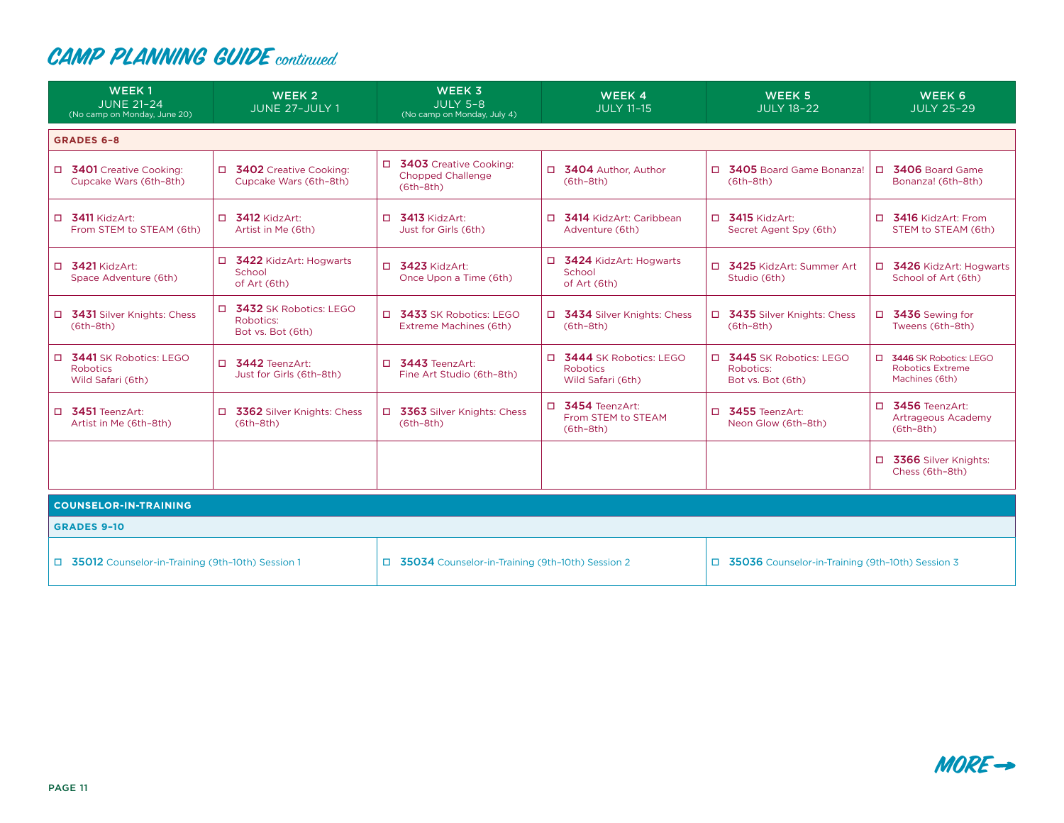| WEEK <sub>1</sub><br><b>JUNE 21-24</b><br>(No camp on Monday, June 20) | WEEK <sub>2</sub><br>JUNE 27-JULY 1                            | <b>WEEK 3</b><br><b>JULY 5-8</b><br>(No camp on Monday, July 4)     | WEEK 4<br><b>JULY 11-15</b>                                      | WEEK 5<br><b>JULY 18-22</b>                                | WEEK 6<br><b>JULY 25-29</b>                                           |
|------------------------------------------------------------------------|----------------------------------------------------------------|---------------------------------------------------------------------|------------------------------------------------------------------|------------------------------------------------------------|-----------------------------------------------------------------------|
| <b>GRADES 6-8</b>                                                      |                                                                |                                                                     |                                                                  |                                                            |                                                                       |
| □ 3401 Creative Cooking:<br>Cupcake Wars (6th-8th)                     | □ 3402 Creative Cooking:<br>Cupcake Wars (6th-8th)             | □ 3403 Creative Cooking:<br><b>Chopped Challenge</b><br>$(6th-8th)$ | □ 3404 Author, Author<br>$(6th-8th)$                             | □ 3405 Board Game Bonanza!<br>$(6th-8th)$                  | □ 3406 Board Game<br>Bonanza! (6th-8th)                               |
| $\Box$ 3411 KidzArt:<br>From STEM to STEAM (6th)                       | $\Box$ 3412 KidzArt:<br>Artist in Me (6th)                     | $\Box$ 3413 KidzArt:<br>Just for Girls (6th)                        | □ 3414 KidzArt: Caribbean<br>Adventure (6th)                     | $\Box$ 3415 KidzArt:<br>Secret Agent Spy (6th)             | $\Box$ 3416 KidzArt: From<br>STEM to STEAM (6th)                      |
| $\Box$ 3421 KidzArt:<br>Space Adventure (6th)                          | □ 3422 KidzArt: Hogwarts<br>School<br>of Art (6th)             | $\Box$ 3423 KidzArt:<br>Once Upon a Time (6th)                      | □ 3424 KidzArt: Hogwarts<br>School<br>of Art (6th)               | $\Box$<br>3425 KidzArt: Summer Art<br>Studio (6th)         | □ 3426 KidzArt: Hogwarts<br>School of Art (6th)                       |
| □ 3431 Silver Knights: Chess<br>$(6th-8th)$                            | 3432 SK Robotics: LEGO<br>n.<br>Robotics:<br>Bot vs. Bot (6th) | □ 3433 SK Robotics: LEGO<br>Extreme Machines (6th)                  | □ 3434 Silver Knights: Chess<br>$(6th-8th)$                      | □ 3435 Silver Knights: Chess<br>$(6th-8th)$                | □ 3436 Sewing for<br>Tweens (6th-8th)                                 |
| □ 3441 SK Robotics: LEGO<br><b>Robotics</b><br>Wild Safari (6th)       | 3442 TeenzArt:<br>n.<br>Just for Girls (6th-8th)               | □ 3443 TeenzArt:<br>Fine Art Studio (6th-8th)                       | □ 3444 SK Robotics: LEGO<br><b>Robotics</b><br>Wild Safari (6th) | □ 3445 SK Robotics: LEGO<br>Robotics:<br>Bot vs. Bot (6th) | □ 3446 SK Robotics: LEGO<br><b>Robotics Extreme</b><br>Machines (6th) |
| $\Box$ 3451 TeenzArt:<br>Artist in Me (6th-8th)                        | □ 3362 Silver Knights: Chess<br>$(6th-8th)$                    | □ 3363 Silver Knights: Chess<br>$(6th-8th)$                         | $\Box$ 3454 TeenzArt:<br>From STEM to STEAM<br>$(6th-8th)$       | □ 3455 TeenzArt:<br>Neon Glow (6th-8th)                    | $\Box$ 3456 TeenzArt:<br>Artrageous Academy<br>$(6th-8th)$            |
|                                                                        |                                                                |                                                                     |                                                                  |                                                            | 3366 Silver Knights:<br>$\Box$<br>Chess (6th-8th)                     |
| <b>COUNSELOR-IN-TRAINING</b>                                           |                                                                |                                                                     |                                                                  |                                                            |                                                                       |
| <b>GRADES 9-10</b>                                                     |                                                                |                                                                     |                                                                  |                                                            |                                                                       |
| □ 35012 Counselor-in-Training (9th-10th) Session 1                     |                                                                | □ 35034 Counselor-in-Training (9th-10th) Session 2                  |                                                                  | 35036 Counselor-in-Training (9th-10th) Session 3           |                                                                       |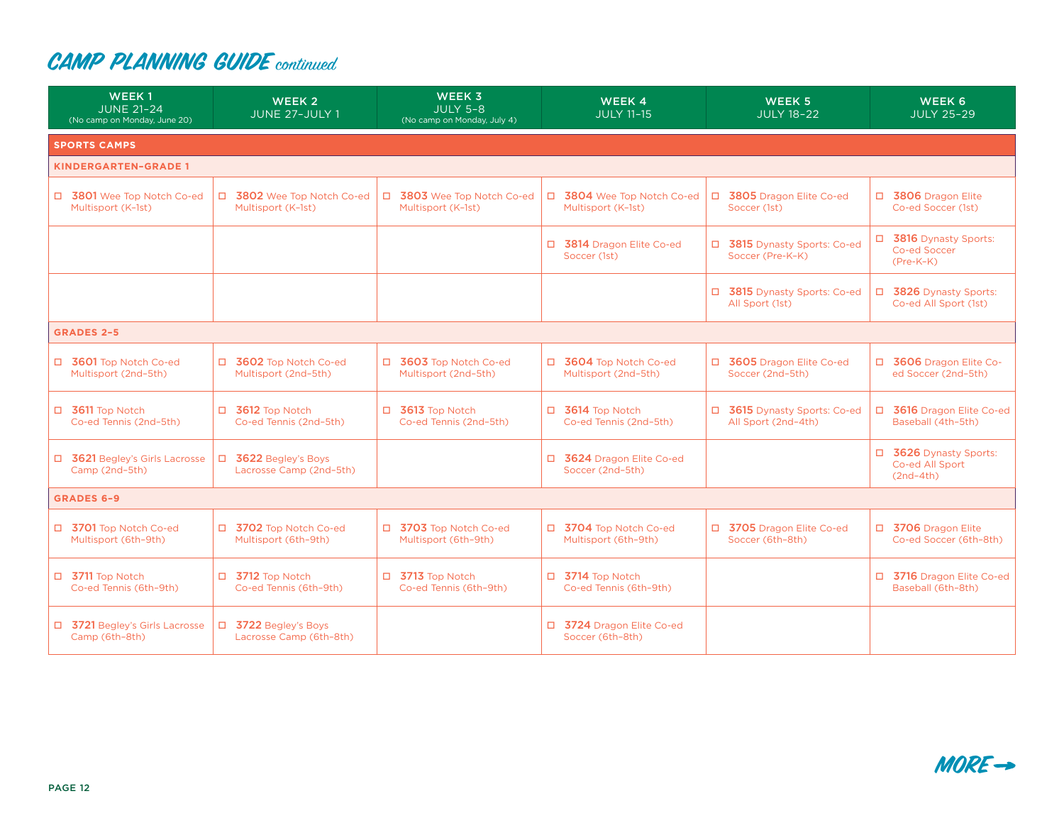| WEEK <sub>1</sub><br><b>JUNE 21-24</b><br>(No camp on Monday, June 20) | WEEK 2<br>JUNE 27-JULY 1                         | <b>WEEK 3</b><br><b>JULY 5-8</b><br>(No camp on Monday, July 4) | WEEK 4<br><b>JULY 11-15</b>                      | WEEK <sub>5</sub><br><b>JULY 18-22</b>              | WEEK 6<br><b>JULY 25-29</b>                              |
|------------------------------------------------------------------------|--------------------------------------------------|-----------------------------------------------------------------|--------------------------------------------------|-----------------------------------------------------|----------------------------------------------------------|
| <b>SPORTS CAMPS</b>                                                    |                                                  |                                                                 |                                                  |                                                     |                                                          |
| <b>KINDERGARTEN-GRADE 1</b>                                            |                                                  |                                                                 |                                                  |                                                     |                                                          |
| □ 3801 Wee Top Notch Co-ed<br>Multisport (K-1st)                       | □ 3802 Wee Top Notch Co-ed<br>Multisport (K-1st) | $\Box$<br>3803 Wee Top Notch Co-ed<br>Multisport (K-1st)        | □ 3804 Wee Top Notch Co-ed<br>Multisport (K-1st) | □ 3805 Dragon Elite Co-ed<br>Soccer (1st)           | □ 3806 Dragon Elite<br>Co-ed Soccer (1st)                |
|                                                                        |                                                  |                                                                 | □ 3814 Dragon Elite Co-ed<br>Soccer (1st)        | □ 3815 Dynasty Sports: Co-ed<br>Soccer (Pre-K-K)    | □ 3816 Dynasty Sports:<br>Co-ed Soccer<br>$(Pre-K-K)$    |
|                                                                        |                                                  |                                                                 |                                                  | □ 3815 Dynasty Sports: Co-ed<br>All Sport (1st)     | 3826 Dynasty Sports:<br>$\Box$<br>Co-ed All Sport (1st)  |
| <b>GRADES 2-5</b>                                                      |                                                  |                                                                 |                                                  |                                                     |                                                          |
| □ 3601 Top Notch Co-ed<br>Multisport (2nd-5th)                         | □ 3602 Top Notch Co-ed<br>Multisport (2nd-5th)   | □ 3603 Top Notch Co-ed<br>Multisport (2nd-5th)                  | □ 3604 Top Notch Co-ed<br>Multisport (2nd-5th)   | □ 3605 Dragon Elite Co-ed<br>Soccer (2nd-5th)       | □ 3606 Dragon Elite Co-<br>ed Soccer (2nd-5th)           |
| $\Box$ 3611 Top Notch<br>Co-ed Tennis (2nd-5th)                        | □ 3612 Top Notch<br>Co-ed Tennis (2nd-5th)       | □ 3613 Top Notch<br>Co-ed Tennis (2nd-5th)                      | □ 3614 Top Notch<br>Co-ed Tennis (2nd-5th)       | □ 3615 Dynasty Sports: Co-ed<br>All Sport (2nd-4th) | 3616 Dragon Elite Co-ed<br>$\Box$<br>Baseball (4th-5th)  |
| □ 3621 Begley's Girls Lacrosse<br>Camp (2nd-5th)                       | □ 3622 Begley's Boys<br>Lacrosse Camp (2nd-5th)  |                                                                 | □ 3624 Dragon Elite Co-ed<br>Soccer (2nd-5th)    |                                                     | □ 3626 Dynasty Sports:<br>Co-ed All Sport<br>$(2nd-4th)$ |
| <b>GRADES 6-9</b>                                                      |                                                  |                                                                 |                                                  |                                                     |                                                          |
| □ 3701 Top Notch Co-ed<br>Multisport (6th-9th)                         | □ 3702 Top Notch Co-ed<br>Multisport (6th-9th)   | □ 3703 Top Notch Co-ed<br>Multisport (6th-9th)                  | □ 3704 Top Notch Co-ed<br>Multisport (6th-9th)   | □ 3705 Dragon Elite Co-ed<br>Soccer (6th-8th)       | □ 3706 Dragon Elite<br>Co-ed Soccer (6th-8th)            |
| $\Box$ 3711 Top Notch<br>Co-ed Tennis (6th-9th)                        | □ 3712 Top Notch<br>Co-ed Tennis (6th-9th)       | $\Box$ 3713 Top Notch<br>Co-ed Tennis (6th-9th)                 | $\Box$ 3714 Top Notch<br>Co-ed Tennis (6th-9th)  |                                                     | □ 3716 Dragon Elite Co-ed<br>Baseball (6th-8th)          |
| □ 3721 Begley's Girls Lacrosse<br>Camp (6th-8th)                       | □ 3722 Begley's Boys<br>Lacrosse Camp (6th-8th)  |                                                                 | □ 3724 Dragon Elite Co-ed<br>Soccer (6th-8th)    |                                                     |                                                          |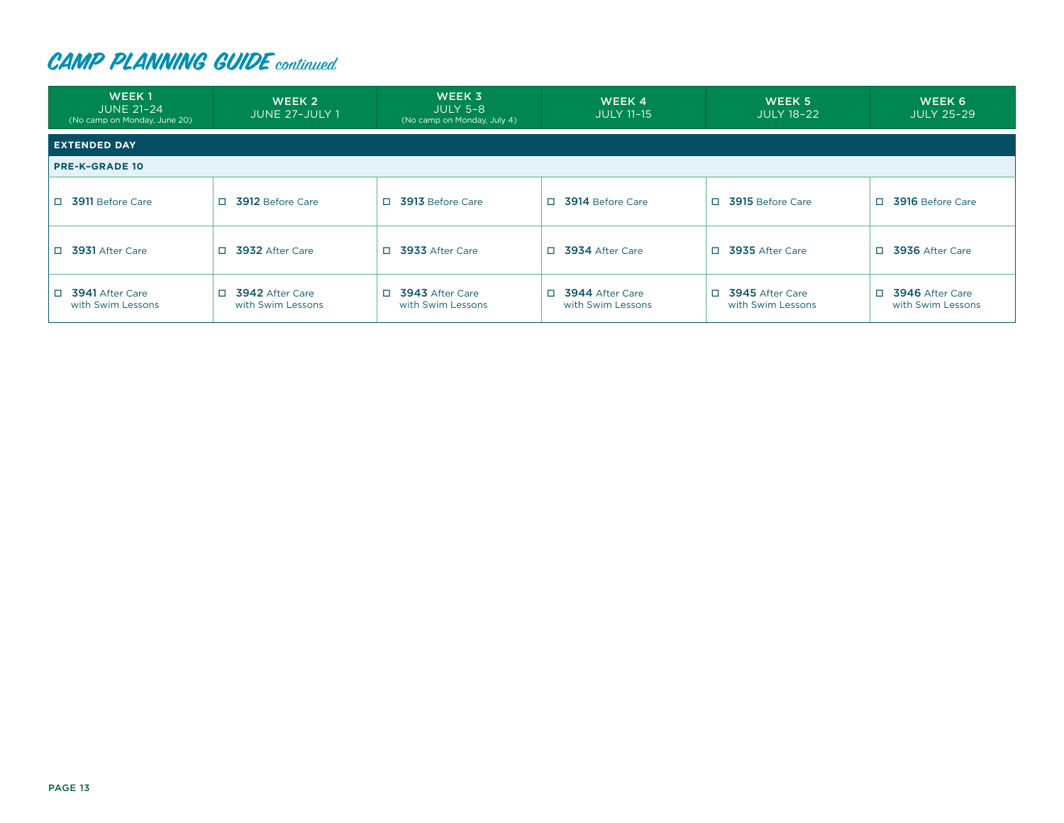| <b>WEEK1</b><br><b>JUNE 21-24</b><br>(No camp on Monday, June 20) | WEEK 2<br>JUNE 27-JULY 1                       | WEEK 3<br><b>JULY 5-8</b><br>(No camp on Monday, July 4) | WEEK 4<br><b>JULY 11-15</b>                 | WEEK 5<br><b>JULY 18-22</b>                | WEEK 6<br><b>JULY 25-29</b>                |
|-------------------------------------------------------------------|------------------------------------------------|----------------------------------------------------------|---------------------------------------------|--------------------------------------------|--------------------------------------------|
| <b>EXTENDED DAY</b>                                               |                                                |                                                          |                                             |                                            |                                            |
| <b>PRE-K-GRADE 10</b>                                             |                                                |                                                          |                                             |                                            |                                            |
| □ 3911 Before Care                                                | 3912 Before Care<br>П.                         | 3913 Before Care<br>n.                                   | □ 3914 Before Care                          | П.<br>3915 Before Care                     | 3916 Before Care                           |
| □ 3931 After Care                                                 | 3932 After Care<br>П.                          | 3933 After Care<br>$\Box$                                | □ 3934 After Care                           | П.<br>3935 After Care                      | 3936 After Care<br>П.                      |
| □ 3941 After Care<br>with Swim Lessons                            | 3942 After Care<br>$\Box$<br>with Swim Lessons | 3943 After Care<br>$\Box$<br>with Swim Lessons           | $\Box$ 3944 After Care<br>with Swim Lessons | П.<br>3945 After Care<br>with Swim Lessons | 3946 After Care<br>П.<br>with Swim Lessons |